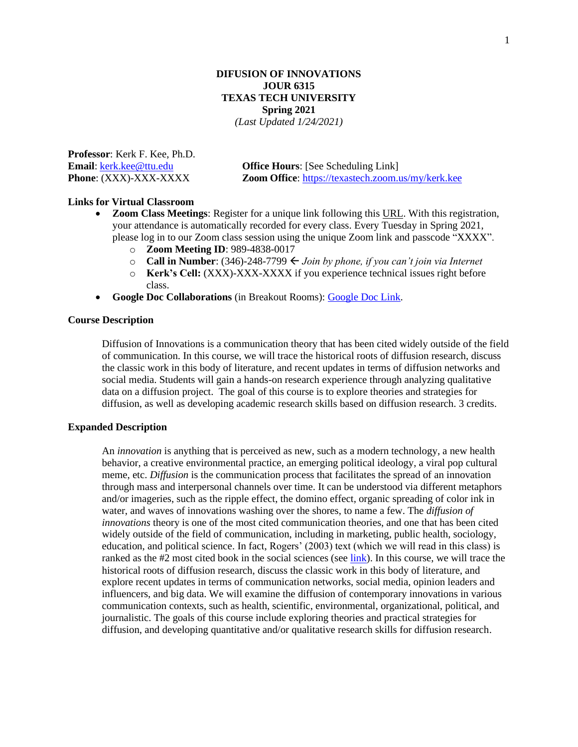## **DIFUSION OF INNOVATIONS JOUR 6315 TEXAS TECH UNIVERSITY Spring 2021**

*(Last Updated 1/24/2021)*

| <b>Professor:</b> Kerk F. Kee, Ph.D. |                                                           |
|--------------------------------------|-----------------------------------------------------------|
| <b>Email:</b> kerk.kee@ttu.edu       | <b>Office Hours:</b> [See Scheduling Link]                |
| <b>Phone:</b> (XXX)-XXX-XXXX         | <b>Zoom Office:</b> https://texastech.zoom.us/my/kerk.kee |

#### **Links for Virtual Classroom**

- **Zoom Class Meetings**: Register for a unique link following this URL. With this registration, your attendance is automatically recorded for every class. Every Tuesday in Spring 2021, please log in to our Zoom class session using the unique Zoom link and passcode "XXXX".
	- o **Zoom Meeting ID**: 989-4838-0017
	- o **Call in Number**: (346)-248-7799 *Join by phone, if you can't join via Internet*
	- o **Kerk's Cell:** (XXX)-XXX-XXXX if you experience technical issues right before class.
- **Google Doc Collaborations** (in Breakout Rooms): Google Doc Link.

#### **Course Description**

Diffusion of Innovations is a communication theory that has been cited widely outside of the field of communication. In this course, we will trace the historical roots of diffusion research, discuss the classic work in this body of literature, and recent updates in terms of diffusion networks and social media. Students will gain a hands-on research experience through analyzing qualitative data on a diffusion project. The goal of this course is to explore theories and strategies for diffusion, as well as developing academic research skills based on diffusion research. 3 credits.

#### **Expanded Description**

An *innovation* is anything that is perceived as new, such as a modern technology, a new health behavior, a creative environmental practice, an emerging political ideology, a viral pop cultural meme, etc. *Diffusion* is the communication process that facilitates the spread of an innovation through mass and interpersonal channels over time. It can be understood via different metaphors and/or imageries, such as the ripple effect, the domino effect, organic spreading of color ink in water, and waves of innovations washing over the shores, to name a few. The *diffusion of innovations* theory is one of the most cited communication theories, and one that has been cited widely outside of the field of communication, including in marketing, public health, sociology, education, and political science. In fact, Rogers' (2003) text (which we will read in this class) is ranked as the #2 most cited book in the social sciences (see [link\)](https://blogs.lse.ac.uk/impactofsocialsciences/2016/05/12/what-are-the-most-cited-publications-in-the-social-sciences-according-to-google-scholar/). In this course, we will trace the historical roots of diffusion research, discuss the classic work in this body of literature, and explore recent updates in terms of communication networks, social media, opinion leaders and influencers, and big data. We will examine the diffusion of contemporary innovations in various communication contexts, such as health, scientific, environmental, organizational, political, and journalistic. The goals of this course include exploring theories and practical strategies for diffusion, and developing quantitative and/or qualitative research skills for diffusion research.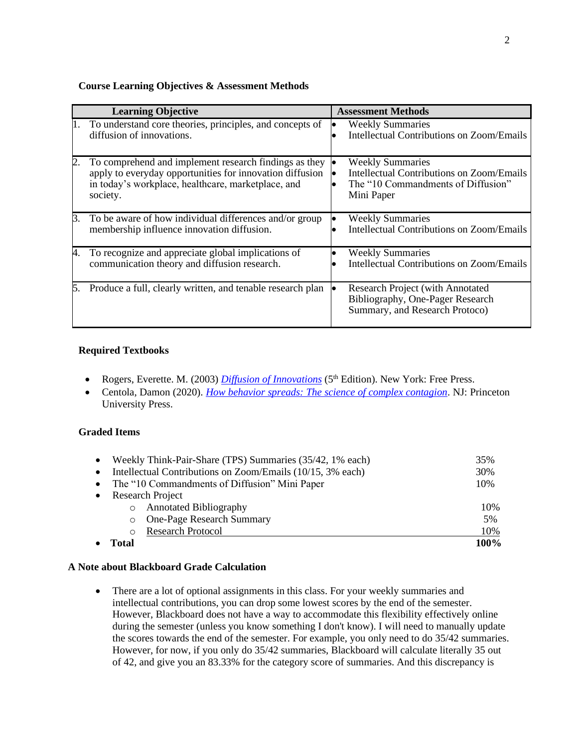## **Course Learning Objectives & Assessment Methods**

|    | <b>Learning Objective</b>                                                                                                                                                           | <b>Assessment Methods</b>                                                                                                       |
|----|-------------------------------------------------------------------------------------------------------------------------------------------------------------------------------------|---------------------------------------------------------------------------------------------------------------------------------|
|    | To understand core theories, principles, and concepts of<br>diffusion of innovations.                                                                                               | <b>Weekly Summaries</b><br><b>Intellectual Contributions on Zoom/Emails</b>                                                     |
| 2. | To comprehend and implement research findings as they<br>apply to everyday opportunities for innovation diffusion<br>in today's workplace, healthcare, marketplace, and<br>society. | <b>Weekly Summaries</b><br><b>Intellectual Contributions on Zoom/Emails</b><br>The "10 Commandments of Diffusion"<br>Mini Paper |
| 3. | To be aware of how individual differences and/or group<br>membership influence innovation diffusion.                                                                                | <b>Weekly Summaries</b><br><b>Intellectual Contributions on Zoom/Emails</b>                                                     |
| 4. | To recognize and appreciate global implications of<br>communication theory and diffusion research.                                                                                  | <b>Weekly Summaries</b><br>Intellectual Contributions on Zoom/Emails                                                            |
| 5. | Produce a full, clearly written, and tenable research plan                                                                                                                          | <b>Research Project (with Annotated)</b><br>Bibliography, One-Pager Research<br>Summary, and Research Protoco)                  |

## **Required Textbooks**

- Rogers, Everette. M. (2003) *[Diffusion of Innovations](https://www.amazon.com/Diffusion-Innovations-5th-Everett-Rogers/dp/0743222091/ref=sr_1_1?ie=UTF8&qid=1485819524&sr=8-1&keywords=Diffusion+of+Innovations)* (5<sup>th</sup> Edition). New York: Free Press.
- Centola, Damon (2020). *[How behavior spreads: The science of complex contagion](https://www.amazon.com/How-Behavior-Spreads-Contagions-Analytical/dp/0691202427/ref=sr_1_1?dchild=1&keywords=centola%2C+spread+of+behavior&qid=1611182534&sr=8-1)*. NJ: Princeton University Press.

## **Graded Items**

| • Weekly Think-Pair-Share (TPS) Summaries (35/42, 1% each)      |                                      |      |  |  |  |
|-----------------------------------------------------------------|--------------------------------------|------|--|--|--|
| • Intellectual Contributions on Zoom/Emails $(10/15, 3\%$ each) |                                      |      |  |  |  |
| • The "10 Commandments of Diffusion" Mini Paper                 |                                      |      |  |  |  |
|                                                                 | • Research Project                   |      |  |  |  |
|                                                                 | o Annotated Bibliography             | 10%  |  |  |  |
|                                                                 | o One-Page Research Summary          | 5%   |  |  |  |
|                                                                 | <b>Research Protocol</b><br>$\Omega$ | 10%  |  |  |  |
| $\bullet$                                                       | Total                                | 100% |  |  |  |

## **A Note about Blackboard Grade Calculation**

• There are a lot of optional assignments in this class. For your weekly summaries and intellectual contributions, you can drop some lowest scores by the end of the semester. However, Blackboard does not have a way to accommodate this flexibility effectively online during the semester (unless you know something I don't know). I will need to manually update the scores towards the end of the semester. For example, you only need to do 35/42 summaries. However, for now, if you only do 35/42 summaries, Blackboard will calculate literally 35 out of 42, and give you an 83.33% for the category score of summaries. And this discrepancy is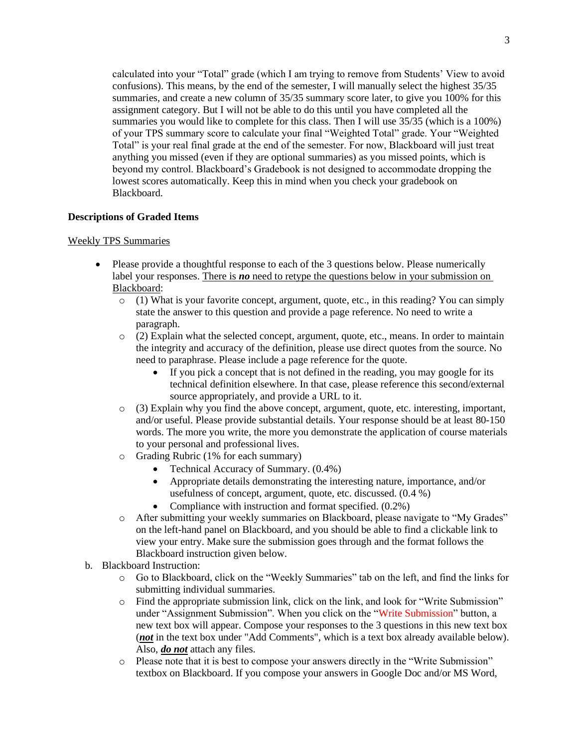calculated into your "Total" grade (which I am trying to remove from Students' View to avoid confusions). This means, by the end of the semester, I will manually select the highest 35/35 summaries, and create a new column of 35/35 summary score later, to give you 100% for this assignment category. But I will not be able to do this until you have completed all the summaries you would like to complete for this class. Then I will use 35/35 (which is a 100%) of your TPS summary score to calculate your final "Weighted Total" grade. Your "Weighted Total" is your real final grade at the end of the semester. For now, Blackboard will just treat anything you missed (even if they are optional summaries) as you missed points, which is beyond my control. Blackboard's Gradebook is not designed to accommodate dropping the lowest scores automatically. Keep this in mind when you check your gradebook on Blackboard.

## **Descriptions of Graded Items**

### Weekly TPS Summaries

- Please provide a thoughtful response to each of the 3 questions below. Please numerically label your responses. There is *no* need to retype the questions below in your submission on Blackboard:
	- o (1) What is your favorite concept, argument, quote, etc., in this reading? You can simply state the answer to this question and provide a page reference. No need to write a paragraph.
	- $\circ$  (2) Explain what the selected concept, argument, quote, etc., means. In order to maintain the integrity and accuracy of the definition, please use direct quotes from the source. No need to paraphrase. Please include a page reference for the quote.
		- If you pick a concept that is not defined in the reading, you may google for its technical definition elsewhere. In that case, please reference this second/external source appropriately, and provide a URL to it.
	- o (3) Explain why you find the above concept, argument, quote, etc. interesting, important, and/or useful. Please provide substantial details. Your response should be at least 80-150 words. The more you write, the more you demonstrate the application of course materials to your personal and professional lives.
	- o Grading Rubric (1% for each summary)
		- Technical Accuracy of Summary. (0.4%)
		- Appropriate details demonstrating the interesting nature, importance, and/or usefulness of concept, argument, quote, etc. discussed. (0.4 %)
		- Compliance with instruction and format specified. (0.2%)
	- o After submitting your weekly summaries on Blackboard, please navigate to "My Grades" on the left-hand panel on Blackboard, and you should be able to find a clickable link to view your entry. Make sure the submission goes through and the format follows the Blackboard instruction given below.
- b. Blackboard Instruction:
	- o Go to Blackboard, click on the "Weekly Summaries" tab on the left, and find the links for submitting individual summaries.
	- o Find the appropriate submission link, click on the link, and look for "Write Submission" under "Assignment Submission". When you click on the "Write Submission" button, a new text box will appear. Compose your responses to the 3 questions in this new text box (*not* in the text box under "Add Comments", which is a text box already available below). Also, *do not* attach any files.
	- o Please note that it is best to compose your answers directly in the "Write Submission" textbox on Blackboard. If you compose your answers in Google Doc and/or MS Word,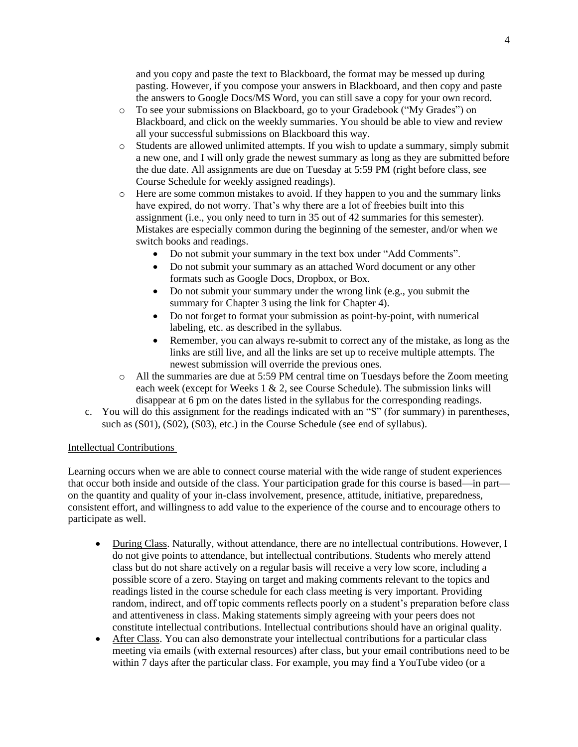and you copy and paste the text to Blackboard, the format may be messed up during pasting. However, if you compose your answers in Blackboard, and then copy and paste the answers to Google Docs/MS Word, you can still save a copy for your own record.

- o To see your submissions on Blackboard, go to your Gradebook ("My Grades") on Blackboard, and click on the weekly summaries. You should be able to view and review all your successful submissions on Blackboard this way.
- o Students are allowed unlimited attempts. If you wish to update a summary, simply submit a new one, and I will only grade the newest summary as long as they are submitted before the due date. All assignments are due on Tuesday at 5:59 PM (right before class, see Course Schedule for weekly assigned readings).
- o Here are some common mistakes to avoid. If they happen to you and the summary links have expired, do not worry. That's why there are a lot of freebies built into this assignment (i.e., you only need to turn in 35 out of 42 summaries for this semester). Mistakes are especially common during the beginning of the semester, and/or when we switch books and readings.
	- Do not submit your summary in the text box under "Add Comments".
	- Do not submit your summary as an attached Word document or any other formats such as Google Docs, Dropbox, or Box.
	- Do not submit your summary under the wrong link (e.g., you submit the summary for Chapter 3 using the link for Chapter 4).
	- Do not forget to format your submission as point-by-point, with numerical labeling, etc. as described in the syllabus.
	- Remember, you can always re-submit to correct any of the mistake, as long as the links are still live, and all the links are set up to receive multiple attempts. The newest submission will override the previous ones.
- o All the summaries are due at 5:59 PM central time on Tuesdays before the Zoom meeting each week (except for Weeks 1 & 2, see Course Schedule). The submission links will disappear at 6 pm on the dates listed in the syllabus for the corresponding readings.
- c. You will do this assignment for the readings indicated with an "S" (for summary) in parentheses, such as (S01), (S02), (S03), etc.) in the Course Schedule (see end of syllabus).

## Intellectual Contributions

Learning occurs when we are able to connect course material with the wide range of student experiences that occur both inside and outside of the class. Your participation grade for this course is based—in part on the quantity and quality of your in-class involvement, presence, attitude, initiative, preparedness, consistent effort, and willingness to add value to the experience of the course and to encourage others to participate as well.

- During Class. Naturally, without attendance, there are no intellectual contributions. However, I do not give points to attendance, but intellectual contributions. Students who merely attend class but do not share actively on a regular basis will receive a very low score, including a possible score of a zero. Staying on target and making comments relevant to the topics and readings listed in the course schedule for each class meeting is very important. Providing random, indirect, and off topic comments reflects poorly on a student's preparation before class and attentiveness in class. Making statements simply agreeing with your peers does not constitute intellectual contributions. Intellectual contributions should have an original quality.
- After Class. You can also demonstrate your intellectual contributions for a particular class meeting via emails (with external resources) after class, but your email contributions need to be within 7 days after the particular class. For example, you may find a YouTube video (or a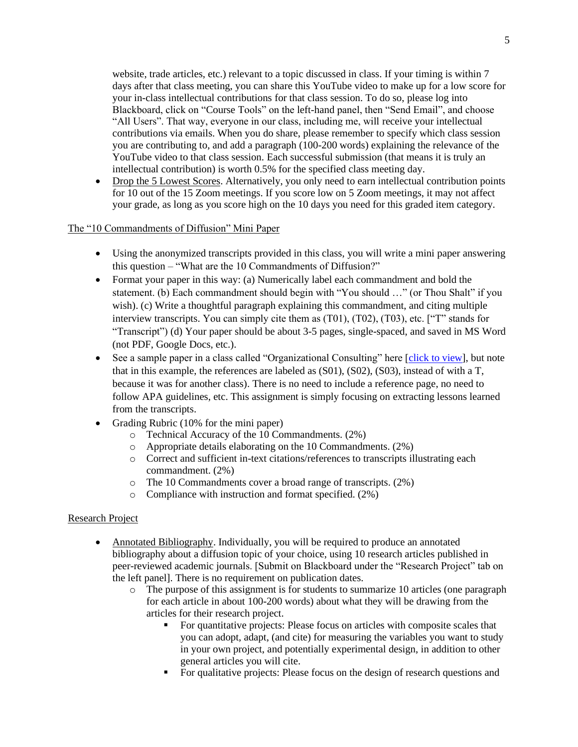website, trade articles, etc.) relevant to a topic discussed in class. If your timing is within 7 days after that class meeting, you can share this YouTube video to make up for a low score for your in-class intellectual contributions for that class session. To do so, please log into Blackboard, click on "Course Tools" on the left-hand panel, then "Send Email", and choose "All Users". That way, everyone in our class, including me, will receive your intellectual contributions via emails. When you do share, please remember to specify which class session you are contributing to, and add a paragraph (100-200 words) explaining the relevance of the YouTube video to that class session. Each successful submission (that means it is truly an intellectual contribution) is worth 0.5% for the specified class meeting day.

• Drop the 5 Lowest Scores. Alternatively, you only need to earn intellectual contribution points for 10 out of the 15 Zoom meetings. If you score low on 5 Zoom meetings, it may not affect your grade, as long as you score high on the 10 days you need for this graded item category.

## The "10 Commandments of Diffusion" Mini Paper

- Using the anonymized transcripts provided in this class, you will write a mini paper answering this question – "What are the 10 Commandments of Diffusion?"
- Format your paper in this way: (a) Numerically label each commandment and bold the statement. (b) Each commandment should begin with "You should ..." (or Thou Shalt" if you wish). (c) Write a thoughtful paragraph explaining this commandment, and citing multiple interview transcripts. You can simply cite them as (T01), (T02), (T03), etc. ["T" stands for "Transcript") (d) Your paper should be about 3-5 pages, single-spaced, and saved in MS Word (not PDF, Google Docs, etc.).
- See a sample paper in a class called "Organizational Consulting" here [\[click to view\]](https://www.dropbox.com/scl/fi/ukhayzfrc358zvuve31rd/Sample-Paper-10-Commandments-Reference-Anonymized.docx?dl=0&rlkey=4ycbzgn2fk6jjpg9xo6qjvsxe), but note that in this example, the references are labeled as (S01), (S02), (S03), instead of with a T, because it was for another class). There is no need to include a reference page, no need to follow APA guidelines, etc. This assignment is simply focusing on extracting lessons learned from the transcripts.
- Grading Rubric (10% for the mini paper)
	- o Technical Accuracy of the 10 Commandments. (2%)
	- o Appropriate details elaborating on the 10 Commandments. (2%)
	- o Correct and sufficient in-text citations/references to transcripts illustrating each commandment. (2%)
	- o The 10 Commandments cover a broad range of transcripts. (2%)
	- o Compliance with instruction and format specified. (2%)

## Research Project

- Annotated Bibliography. Individually, you will be required to produce an annotated bibliography about a diffusion topic of your choice, using 10 research articles published in peer-reviewed academic journals. [Submit on Blackboard under the "Research Project" tab on the left panel]. There is no requirement on publication dates.
	- $\circ$  The purpose of this assignment is for students to summarize 10 articles (one paragraph for each article in about 100-200 words) about what they will be drawing from the articles for their research project.
		- For quantitative projects: Please focus on articles with composite scales that you can adopt, adapt, (and cite) for measuring the variables you want to study in your own project, and potentially experimental design, in addition to other general articles you will cite.
		- **•** For qualitative projects: Please focus on the design of research questions and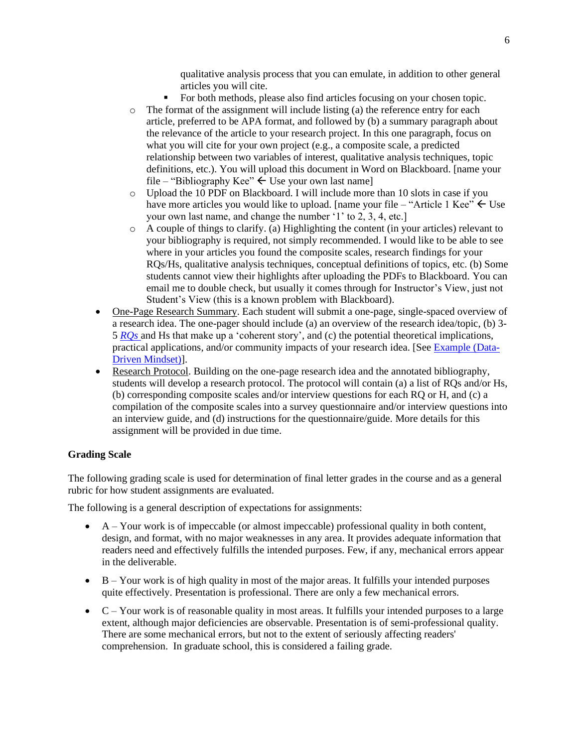qualitative analysis process that you can emulate, in addition to other general articles you will cite.

- For both methods, please also find articles focusing on your chosen topic.
- o The format of the assignment will include listing (a) the reference entry for each article, preferred to be APA format, and followed by (b) a summary paragraph about the relevance of the article to your research project. In this one paragraph, focus on what you will cite for your own project (e.g., a composite scale, a predicted relationship between two variables of interest, qualitative analysis techniques, topic definitions, etc.). You will upload this document in Word on Blackboard. [name your file – "Bibliography Kee"  $\leftarrow$  Use your own last name]
- $\circ$  Upload the 10 PDF on Blackboard. I will include more than 10 slots in case if you have more articles you would like to upload. [name your file – "Article 1 Kee"  $\leftarrow$  Use your own last name, and change the number '1' to 2, 3, 4, etc.]
- $\circ$  A couple of things to clarify. (a) Highlighting the content (in your articles) relevant to your bibliography is required, not simply recommended. I would like to be able to see where in your articles you found the composite scales, research findings for your RQs/Hs, qualitative analysis techniques, conceptual definitions of topics, etc. (b) Some students cannot view their highlights after uploading the PDFs to Blackboard. You can email me to double check, but usually it comes through for Instructor's View, just not Student's View (this is a known problem with Blackboard).
- One-Page Research Summary. Each student will submit a one-page, single-spaced overview of a research idea. The one-pager should include (a) an overview of the research idea/topic, (b) 3- 5 *RQs* and Hs that make up a 'coherent story', and (c) the potential theoretical implications, practical applications, and/or community impacts of your research idea. [See [Example \(Data-](https://www.dropbox.com/s/1fb5q94is8anl7a/One-Page%20Research%20Summary%20%28Data-Driven%20Mindset%29.docx?dl=0)[Driven Mindset\)\]](https://www.dropbox.com/s/1fb5q94is8anl7a/One-Page%20Research%20Summary%20%28Data-Driven%20Mindset%29.docx?dl=0).
- Research Protocol. Building on the one-page research idea and the annotated bibliography, students will develop a research protocol. The protocol will contain (a) a list of RQs and/or Hs, (b) corresponding composite scales and/or interview questions for each RQ or H, and (c) a compilation of the composite scales into a survey questionnaire and/or interview questions into an interview guide, and (d) instructions for the questionnaire/guide. More details for this assignment will be provided in due time.

## **Grading Scale**

The following grading scale is used for determination of final letter grades in the course and as a general rubric for how student assignments are evaluated.

The following is a general description of expectations for assignments:

- A Your work is of impeccable (or almost impeccable) professional quality in both content, design, and format, with no major weaknesses in any area. It provides adequate information that readers need and effectively fulfills the intended purposes. Few, if any, mechanical errors appear in the deliverable.
- B Your work is of high quality in most of the major areas. It fulfills your intended purposes quite effectively. Presentation is professional. There are only a few mechanical errors.
- C Your work is of reasonable quality in most areas. It fulfills your intended purposes to a large extent, although major deficiencies are observable. Presentation is of semi-professional quality. There are some mechanical errors, but not to the extent of seriously affecting readers' comprehension. In graduate school, this is considered a failing grade.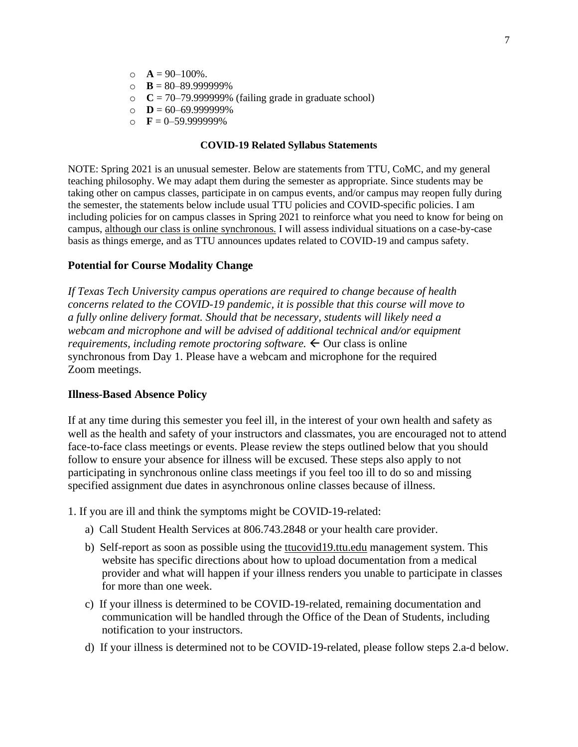- $\circ$  **A** = 90–100%.
- $\circ$  **B** = 80–89.999999%
- $C = 70-79.999999\%$  (failing grade in graduate school)
- $O$  **D** = 60–69.999999%
- $\circ$  **F** = 0–59.999999%

### **COVID-19 Related Syllabus Statements**

NOTE: Spring 2021 is an unusual semester. Below are statements from TTU, CoMC, and my general teaching philosophy. We may adapt them during the semester as appropriate. Since students may be taking other on campus classes, participate in on campus events, and/or campus may reopen fully during the semester, the statements below include usual TTU policies and COVID-specific policies. I am including policies for on campus classes in Spring 2021 to reinforce what you need to know for being on campus, although our class is online synchronous. I will assess individual situations on a case-by-case basis as things emerge, and as TTU announces updates related to COVID-19 and campus safety.

## **Potential for Course Modality Change**

*If Texas Tech University campus operations are required to change because of health concerns related to the COVID-19 pandemic, it is possible that this course will move to a fully online delivery format. Should that be necessary, students will likely need a webcam and microphone and will be advised of additional technical and/or equipment requirements, including remote proctoring software.*  $\leftarrow$  Our class is online synchronous from Day 1. Please have a webcam and microphone for the required Zoom meetings.

### **Illness-Based Absence Policy**

If at any time during this semester you feel ill, in the interest of your own health and safety as well as the health and safety of your instructors and classmates, you are encouraged not to attend face-to-face class meetings or events. Please review the steps outlined below that you should follow to ensure your absence for illness will be excused. These steps also apply to not participating in synchronous online class meetings if you feel too ill to do so and missing specified assignment due dates in asynchronous online classes because of illness.

1. If you are ill and think the symptoms might be COVID-19-related:

- a) Call Student Health Services at 806.743.2848 or your health care provider.
- b) Self-report as soon as possible using the [ttucovid19.ttu.edu](http://ttucovid19.ttu.edu/) management system. This website has specific directions about how to upload documentation from a medical provider and what will happen if your illness renders you unable to participate in classes for more than one week.
- c) If your illness is determined to be COVID-19-related, remaining documentation and communication will be handled through the Office of the Dean of Students, including notification to your instructors.
- d) If your illness is determined not to be COVID-19-related, please follow steps 2.a-d below.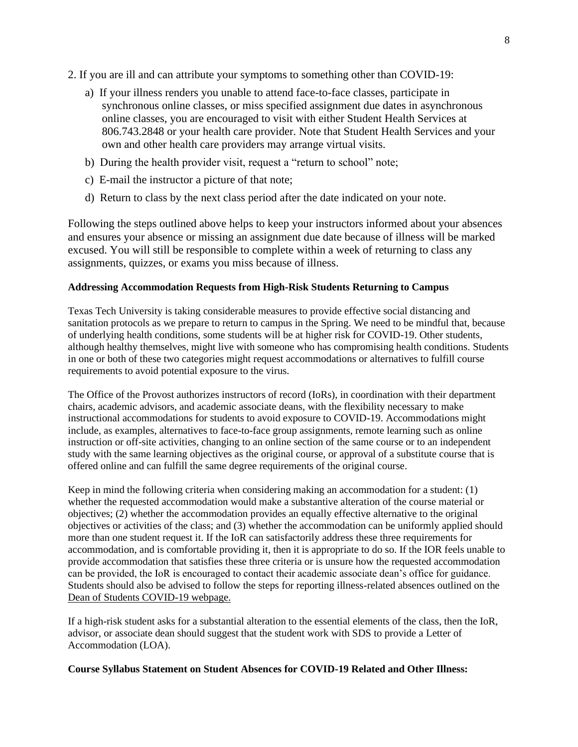- 2. If you are ill and can attribute your symptoms to something other than COVID-19:
	- a) If your illness renders you unable to attend face-to-face classes, participate in synchronous online classes, or miss specified assignment due dates in asynchronous online classes, you are encouraged to visit with either Student Health Services at 806.743.2848 or your health care provider. Note that Student Health Services and your own and other health care providers may arrange virtual visits.
	- b) During the health provider visit, request a "return to school" note;
	- c) E-mail the instructor a picture of that note;
	- d) Return to class by the next class period after the date indicated on your note.

Following the steps outlined above helps to keep your instructors informed about your absences and ensures your absence or missing an assignment due date because of illness will be marked excused. You will still be responsible to complete within a week of returning to class any assignments, quizzes, or exams you miss because of illness.

## **Addressing Accommodation Requests from High-Risk Students Returning to Campus**

Texas Tech University is taking considerable measures to provide effective social distancing and sanitation protocols as we prepare to return to campus in the Spring. We need to be mindful that, because of underlying health conditions, some students will be at higher risk for COVID-19. Other students, although healthy themselves, might live with someone who has compromising health conditions. Students in one or both of these two categories might request accommodations or alternatives to fulfill course requirements to avoid potential exposure to the virus.

The Office of the Provost authorizes instructors of record (IoRs), in coordination with their department chairs, academic advisors, and academic associate deans, with the flexibility necessary to make instructional accommodations for students to avoid exposure to COVID-19. Accommodations might include, as examples, alternatives to face-to-face group assignments, remote learning such as online instruction or off-site activities, changing to an online section of the same course or to an independent study with the same learning objectives as the original course, or approval of a substitute course that is offered online and can fulfill the same degree requirements of the original course.

Keep in mind the following criteria when considering making an accommodation for a student: (1) whether the requested accommodation would make a substantive alteration of the course material or objectives; (2) whether the accommodation provides an equally effective alternative to the original objectives or activities of the class; and (3) whether the accommodation can be uniformly applied should more than one student request it. If the IoR can satisfactorily address these three requirements for accommodation, and is comfortable providing it, then it is appropriate to do so. If the IOR feels unable to provide accommodation that satisfies these three criteria or is unsure how the requested accommodation can be provided, the IoR is encouraged to contact their academic associate dean's office for guidance. Students should also be advised to follow the steps for reporting illness-related absences outlined on the [Dean of Students COVID-19 webpage.](http://www.depts.ttu.edu/dos/COVID-19Absence.php)

If a high-risk student asks for a substantial alteration to the essential elements of the class, then the IoR, advisor, or associate dean should suggest that the student work with SDS to provide a Letter of Accommodation (LOA).

**Course Syllabus Statement on Student Absences for COVID-19 Related and Other Illness:**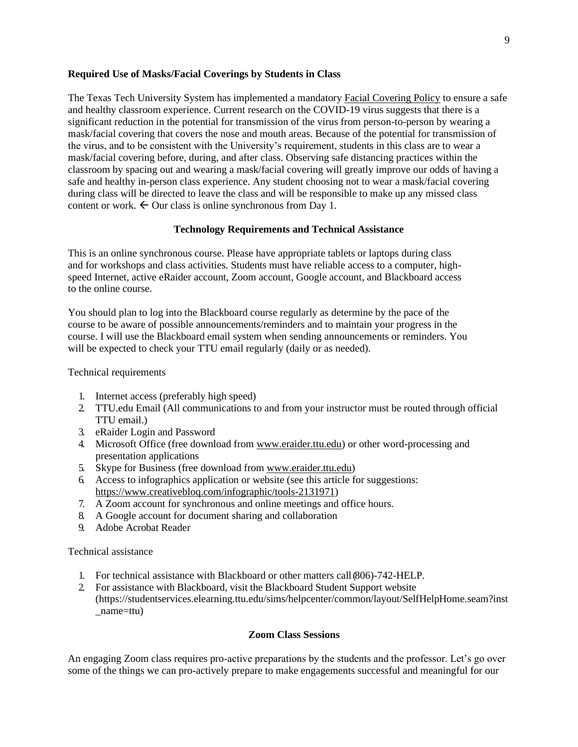### **Required Use of Masks/Facial Coverings by Students in Class**

The Texas Tech University System has implemented a mandatory [Facial Covering Policy](http://www.texastech.edu/downloads/ttus-policy-face-coverings.pdf) to ensure a safe and healthy classroom experience. Current research on the COVID-19 virus suggests that there is a significant reduction in the potential for transmission of the virus from person-to-person by wearing a mask/facial covering that covers the nose and mouth areas. Because of the potential for transmission of the virus, and to be consistent with the University's requirement, students in this class are to wear a mask/facial covering before, during, and after class. Observing safe distancing practices within the classroom by spacing out and wearing a mask/facial covering will greatly improve our odds of having a safe and healthy in-person class experience. Any student choosing not to wear a mask/facial covering during class will be directed to leave the class and will be responsible to make up any missed class content or work.  $\leftarrow$  Our class is online synchronous from Day 1.

### **Technology Requirements and Technical Assistance**

This is an online synchronous course. Please have appropriate tablets or laptops during class and for workshops and class activities. Students must have reliable access to a computer, highspeed Internet, active eRaider account, Zoom account, Google account, and Blackboard access to the online course.

You should plan to log into the Blackboard course regularly as determine by the pace of the course to be aware of possible announcements/reminders and to maintain your progress in the course. I will use the Blackboard email system when sending announcements or reminders. You will be expected to check your TTU email regularly (daily or as needed).

Technical requirements

- 1. Internet access (preferably high speed)
- 2. TTU.edu Email (All communications to and from your instructor must be routed through official TTU email.)
- 3. eRaider Login and Password
- 4. Microsoft Office (free download from [www.eraider.ttu.edu\)](http://www.eraider.ttu.edu/) or other word-processing and presentation applications
- 5. Skype for Business (free download from [www.eraider.ttu.edu\)](http://www.eraider.ttu.edu/)
- 6. Access to infographics application or website (see this article for suggestions: [https://www.creativebloq.com/infographic/tools-2131971\)](https://www.creativebloq.com/infographic/tools-2131971)
- 7. A Zoom account for synchronous and online meetings and office hours.
- 8. A Google account for document sharing and collaboration
- 9. Adobe Acrobat Reader

Technical assistance

- 1. For technical assistance with Blackboard or other matters call(806)-742-HELP.
- 2. For assistance with Blackboard, visit the Blackboard Student Support website (https://studentservices.elearning.ttu.edu/sims/helpcenter/common/layout/SelfHelpHome.seam?inst \_name=ttu)

### **Zoom Class Sessions**

An engaging Zoom class requires pro-active preparations by the students and the professor. Let's go over some of the things we can pro-actively prepare to make engagements successful and meaningful for our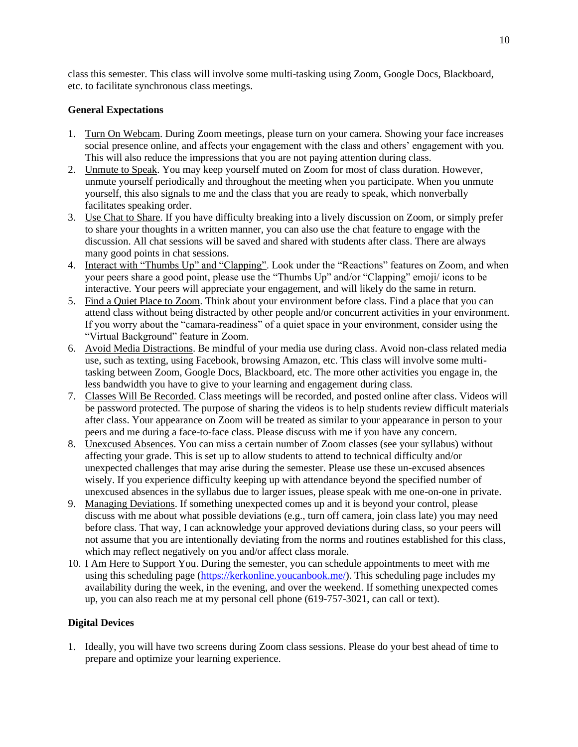class this semester. This class will involve some multi-tasking using Zoom, Google Docs, Blackboard, etc. to facilitate synchronous class meetings.

## **General Expectations**

- 1. Turn On Webcam. During Zoom meetings, please turn on your camera. Showing your face increases social presence online, and affects your engagement with the class and others' engagement with you. This will also reduce the impressions that you are not paying attention during class.
- 2. Unmute to Speak. You may keep yourself muted on Zoom for most of class duration. However, unmute yourself periodically and throughout the meeting when you participate. When you unmute yourself, this also signals to me and the class that you are ready to speak, which nonverbally facilitates speaking order.
- 3. Use Chat to Share. If you have difficulty breaking into a lively discussion on Zoom, or simply prefer to share your thoughts in a written manner, you can also use the chat feature to engage with the discussion. All chat sessions will be saved and shared with students after class. There are always many good points in chat sessions.
- 4. Interact with "Thumbs Up" and "Clapping". Look under the "Reactions" features on Zoom, and when your peers share a good point, please use the "Thumbs Up" and/or "Clapping" emoji/ icons to be interactive. Your peers will appreciate your engagement, and will likely do the same in return.
- 5. Find a Quiet Place to Zoom. Think about your environment before class. Find a place that you can attend class without being distracted by other people and/or concurrent activities in your environment. If you worry about the "camara-readiness" of a quiet space in your environment, consider using the "Virtual Background" feature in Zoom.
- 6. Avoid Media Distractions. Be mindful of your media use during class. Avoid non-class related media use, such as texting, using Facebook, browsing Amazon, etc. This class will involve some multitasking between Zoom, Google Docs, Blackboard, etc. The more other activities you engage in, the less bandwidth you have to give to your learning and engagement during class.
- 7. Classes Will Be Recorded. Class meetings will be recorded, and posted online after class. Videos will be password protected. The purpose of sharing the videos is to help students review difficult materials after class. Your appearance on Zoom will be treated as similar to your appearance in person to your peers and me during a face-to-face class. Please discuss with me if you have any concern.
- 8. Unexcused Absences. You can miss a certain number of Zoom classes (see your syllabus) without affecting your grade. This is set up to allow students to attend to technical difficulty and/or unexpected challenges that may arise during the semester. Please use these un-excused absences wisely. If you experience difficulty keeping up with attendance beyond the specified number of unexcused absences in the syllabus due to larger issues, please speak with me one-on-one in private.
- 9. Managing Deviations. If something unexpected comes up and it is beyond your control, please discuss with me about what possible deviations (e.g., turn off camera, join class late) you may need before class. That way, I can acknowledge your approved deviations during class, so your peers will not assume that you are intentionally deviating from the norms and routines established for this class, which may reflect negatively on you and/or affect class morale.
- 10. I Am Here to Support You. During the semester, you can schedule appointments to meet with me using this scheduling page [\(https://kerkonline.youcanbook.me/\)](https://kerkonline.youcanbook.me/). This scheduling page includes my availability during the week, in the evening, and over the weekend. If something unexpected comes up, you can also reach me at my personal cell phone (619-757-3021, can call or text).

## **Digital Devices**

1. Ideally, you will have two screens during Zoom class sessions. Please do your best ahead of time to prepare and optimize your learning experience.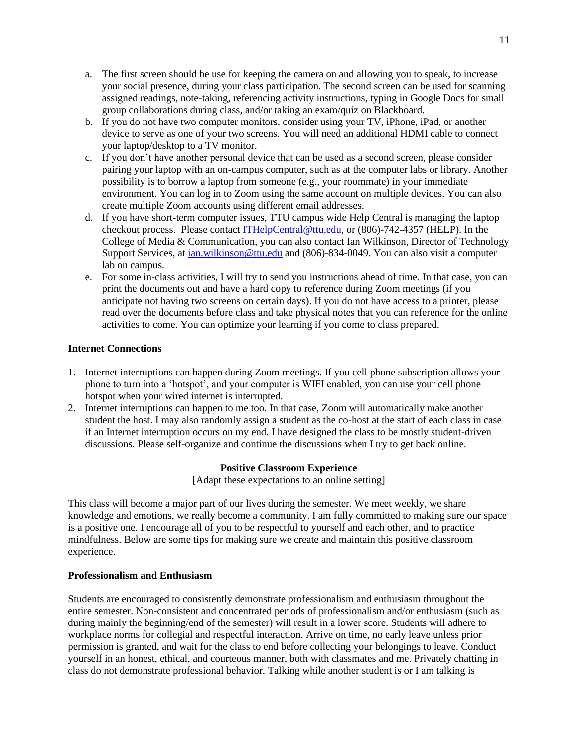- a. The first screen should be use for keeping the camera on and allowing you to speak, to increase your social presence, during your class participation. The second screen can be used for scanning assigned readings, note-taking, referencing activity instructions, typing in Google Docs for small group collaborations during class, and/or taking an exam/quiz on Blackboard.
- b. If you do not have two computer monitors, consider using your TV, iPhone, iPad, or another device to serve as one of your two screens. You will need an additional HDMI cable to connect your laptop/desktop to a TV monitor.
- c. If you don't have another personal device that can be used as a second screen, please consider pairing your laptop with an on-campus computer, such as at the computer labs or library. Another possibility is to borrow a laptop from someone (e.g., your roommate) in your immediate environment. You can log in to Zoom using the same account on multiple devices. You can also create multiple Zoom accounts using different email addresses.
- d. If you have short-term computer issues, TTU campus wide Help Central is managing the laptop checkout process. Please contact [ITHelpCentral@ttu.edu,](mailto:ITHelpCentral@ttu.edu) or (806)-742-4357 (HELP). In the College of Media & Communication, you can also contact Ian Wilkinson, Director of Technology Support Services, at [ian.wilkinson@ttu.edu](mailto:ian.wilkinson@ttu.edu) and (806)-834-0049. You can also visit a computer lab on campus.
- e. For some in-class activities, I will try to send you instructions ahead of time. In that case, you can print the documents out and have a hard copy to reference during Zoom meetings (if you anticipate not having two screens on certain days). If you do not have access to a printer, please read over the documents before class and take physical notes that you can reference for the online activities to come. You can optimize your learning if you come to class prepared.

## **Internet Connections**

- 1. Internet interruptions can happen during Zoom meetings. If you cell phone subscription allows your phone to turn into a 'hotspot', and your computer is WIFI enabled, you can use your cell phone hotspot when your wired internet is interrupted.
- 2. Internet interruptions can happen to me too. In that case, Zoom will automatically make another student the host. I may also randomly assign a student as the co-host at the start of each class in case if an Internet interruption occurs on my end. I have designed the class to be mostly student-driven discussions. Please self-organize and continue the discussions when I try to get back online.

## **Positive Classroom Experience**

[Adapt these expectations to an online setting]

This class will become a major part of our lives during the semester. We meet weekly, we share knowledge and emotions, we really become a community. I am fully committed to making sure our space is a positive one. I encourage all of you to be respectful to yourself and each other, and to practice mindfulness. Below are some tips for making sure we create and maintain this positive classroom experience.

## **Professionalism and Enthusiasm**

Students are encouraged to consistently demonstrate professionalism and enthusiasm throughout the entire semester. Non-consistent and concentrated periods of professionalism and/or enthusiasm (such as during mainly the beginning/end of the semester) will result in a lower score. Students will adhere to workplace norms for collegial and respectful interaction. Arrive on time, no early leave unless prior permission is granted, and wait for the class to end before collecting your belongings to leave. Conduct yourself in an honest, ethical, and courteous manner, both with classmates and me. Privately chatting in class do not demonstrate professional behavior. Talking while another student is or I am talking is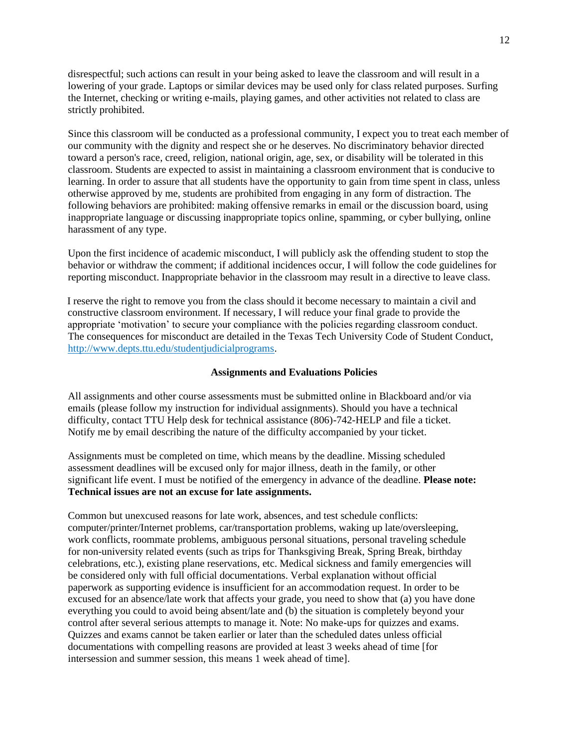disrespectful; such actions can result in your being asked to leave the classroom and will result in a lowering of your grade. Laptops or similar devices may be used only for class related purposes. Surfing the Internet, checking or writing e-mails, playing games, and other activities not related to class are strictly prohibited.

Since this classroom will be conducted as a professional community, I expect you to treat each member of our community with the dignity and respect she or he deserves. No discriminatory behavior directed toward a person's race, creed, religion, national origin, age, sex, or disability will be tolerated in this classroom. Students are expected to assist in maintaining a classroom environment that is conducive to learning. In order to assure that all students have the opportunity to gain from time spent in class, unless otherwise approved by me, students are prohibited from engaging in any form of distraction. The following behaviors are prohibited: making offensive remarks in email or the discussion board, using inappropriate language or discussing inappropriate topics online, spamming, or cyber bullying, online harassment of any type.

Upon the first incidence of academic misconduct, I will publicly ask the offending student to stop the behavior or withdraw the comment; if additional incidences occur, I will follow the code guidelines for reporting misconduct. Inappropriate behavior in the classroom may result in a directive to leave class.

I reserve the right to remove you from the class should it become necessary to maintain a civil and constructive classroom environment. If necessary, I will reduce your final grade to provide the appropriate 'motivation' to secure your compliance with the policies regarding classroom conduct. The consequences for misconduct are detailed in the Texas Tech University Code of Student Conduct, [http://www.depts.ttu.edu/studentjudicialprograms.](http://www.depts.ttu.edu/studentjudicialprograms)

#### **Assignments and Evaluations Policies**

All assignments and other course assessments must be submitted online in Blackboard and/or via emails (please follow my instruction for individual assignments). Should you have a technical difficulty, contact TTU Help desk for technical assistance (806)-742-HELP and file a ticket. Notify me by email describing the nature of the difficulty accompanied by your ticket.

Assignments must be completed on time, which means by the deadline. Missing scheduled assessment deadlines will be excused only for major illness, death in the family, or other significant life event. I must be notified of the emergency in advance of the deadline. **Please note: Technical issues are not an excuse for late assignments.**

Common but unexcused reasons for late work, absences, and test schedule conflicts: computer/printer/Internet problems, car/transportation problems, waking up late/oversleeping, work conflicts, roommate problems, ambiguous personal situations, personal traveling schedule for non-university related events (such as trips for Thanksgiving Break, Spring Break, birthday celebrations, etc.), existing plane reservations, etc. Medical sickness and family emergencies will be considered only with full official documentations. Verbal explanation without official paperwork as supporting evidence is insufficient for an accommodation request. In order to be excused for an absence/late work that affects your grade, you need to show that (a) you have done everything you could to avoid being absent/late and (b) the situation is completely beyond your control after several serious attempts to manage it. Note: No make-ups for quizzes and exams. Quizzes and exams cannot be taken earlier or later than the scheduled dates unless official documentations with compelling reasons are provided at least 3 weeks ahead of time [for intersession and summer session, this means 1 week ahead of time].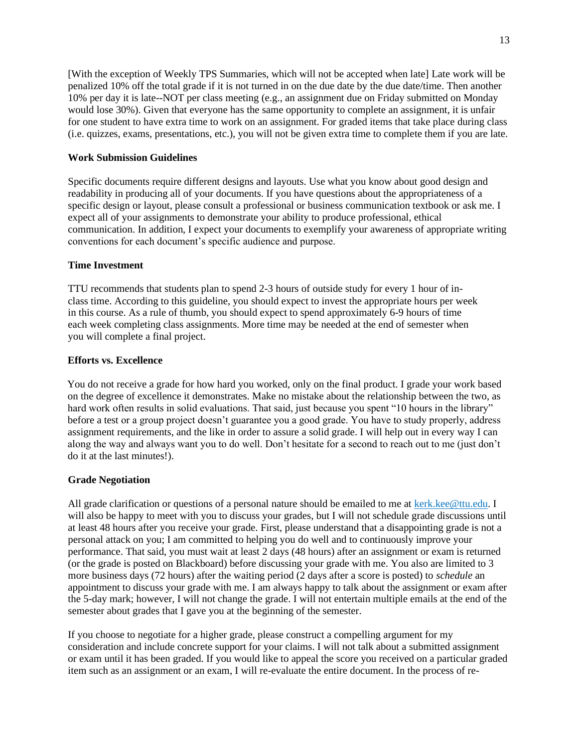[With the exception of Weekly TPS Summaries, which will not be accepted when late] Late work will be penalized 10% off the total grade if it is not turned in on the due date by the due date/time. Then another 10% per day it is late--NOT per class meeting (e.g., an assignment due on Friday submitted on Monday would lose 30%). Given that everyone has the same opportunity to complete an assignment, it is unfair for one student to have extra time to work on an assignment. For graded items that take place during class (i.e. quizzes, exams, presentations, etc.), you will not be given extra time to complete them if you are late.

### **Work Submission Guidelines**

Specific documents require different designs and layouts. Use what you know about good design and readability in producing all of your documents. If you have questions about the appropriateness of a specific design or layout, please consult a professional or business communication textbook or ask me. I expect all of your assignments to demonstrate your ability to produce professional, ethical communication. In addition, I expect your documents to exemplify your awareness of appropriate writing conventions for each document's specific audience and purpose.

### **Time Investment**

TTU recommends that students plan to spend 2-3 hours of outside study for every 1 hour of inclass time. According to this guideline, you should expect to invest the appropriate hours per week in this course. As a rule of thumb, you should expect to spend approximately 6-9 hours of time each week completing class assignments. More time may be needed at the end of semester when you will complete a final project.

### **Efforts vs. Excellence**

You do not receive a grade for how hard you worked, only on the final product. I grade your work based on the degree of excellence it demonstrates. Make no mistake about the relationship between the two, as hard work often results in solid evaluations. That said, just because you spent "10 hours in the library" before a test or a group project doesn't guarantee you a good grade. You have to study properly, address assignment requirements, and the like in order to assure a solid grade. I will help out in every way I can along the way and always want you to do well. Don't hesitate for a second to reach out to me (just don't do it at the last minutes!).

### **Grade Negotiation**

All grade clarification or questions of a personal nature should be emailed to me at [kerk.kee@ttu.edu.](mailto:kerk.kee@ttu.edu) I will also be happy to meet with you to discuss your grades, but I will not schedule grade discussions until at least 48 hours after you receive your grade. First, please understand that a disappointing grade is not a personal attack on you; I am committed to helping you do well and to continuously improve your performance. That said, you must wait at least 2 days (48 hours) after an assignment or exam is returned (or the grade is posted on Blackboard) before discussing your grade with me. You also are limited to 3 more business days (72 hours) after the waiting period (2 days after a score is posted) to *schedule* an appointment to discuss your grade with me. I am always happy to talk about the assignment or exam after the 5-day mark; however, I will not change the grade. I will not entertain multiple emails at the end of the semester about grades that I gave you at the beginning of the semester.

If you choose to negotiate for a higher grade, please construct a compelling argument for my consideration and include concrete support for your claims. I will not talk about a submitted assignment or exam until it has been graded. If you would like to appeal the score you received on a particular graded item such as an assignment or an exam, I will re-evaluate the entire document. In the process of re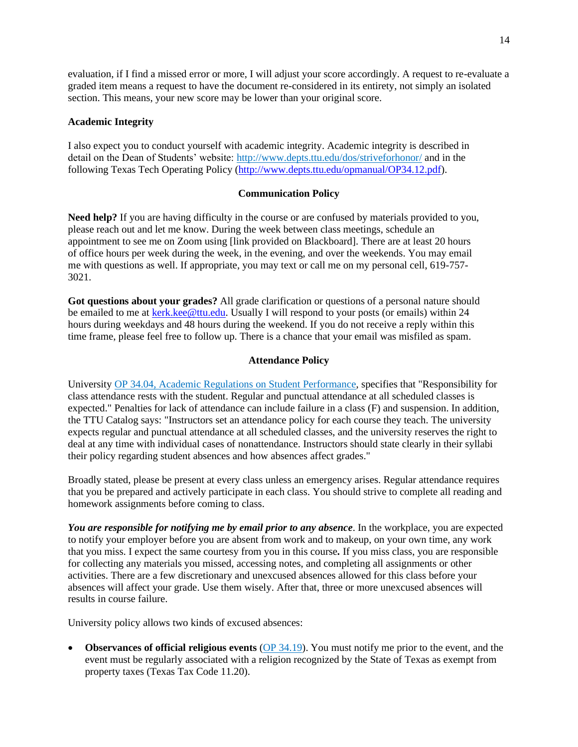evaluation, if I find a missed error or more, I will adjust your score accordingly. A request to re-evaluate a graded item means a request to have the document re-considered in its entirety, not simply an isolated section. This means, your new score may be lower than your original score.

### **Academic Integrity**

I also expect you to conduct yourself with academic integrity. Academic integrity is described in detail on the Dean of Students' website:<http://www.depts.ttu.edu/dos/striveforhonor/> and in the following Texas Tech Operating Policy [\(http://www.depts.ttu.edu/opmanual/OP34.12.pdf\)](http://www.depts.ttu.edu/opmanual/OP34.12.pdf).

### **Communication Policy**

**Need help?** If you are having difficulty in the course or are confused by materials provided to you, please reach out and let me know. During the week between class meetings, schedule an appointment to see me on Zoom using [link provided on Blackboard]. There are at least 20 hours of office hours per week during the week, in the evening, and over the weekends. You may email me with questions as well. If appropriate, you may text or call me on my personal cell, 619-757- 3021.

**Got questions about your grades?** All grade clarification or questions of a personal nature should be emailed to me at [kerk.kee@ttu.edu.](mailto:kerk.kee@ttu.edu) Usually I will respond to your posts (or emails) within 24 hours during weekdays and 48 hours during the weekend. If you do not receive a reply within this time frame, please feel free to follow up. There is a chance that your email was misfiled as spam.

### **Attendance Policy**

University [OP 34.04, Academic Regulations on Student Performance,](http://www.depts.ttu.edu/opmanual/OP34.04.pdf) specifies that "Responsibility for class attendance rests with the student. Regular and punctual attendance at all scheduled classes is expected." Penalties for lack of attendance can include failure in a class (F) and suspension. In addition, the TTU Catalog says: "Instructors set an attendance policy for each course they teach. The university expects regular and punctual attendance at all scheduled classes, and the university reserves the right to deal at any time with individual cases of nonattendance. Instructors should state clearly in their syllabi their policy regarding student absences and how absences affect grades."

Broadly stated, please be present at every class unless an emergency arises. Regular attendance requires that you be prepared and actively participate in each class. You should strive to complete all reading and homework assignments before coming to class.

*You are responsible for notifying me by email prior to any absence*. In the workplace, you are expected to notify your employer before you are absent from work and to makeup, on your own time, any work that you miss. I expect the same courtesy from you in this course*.* If you miss class, you are responsible for collecting any materials you missed, accessing notes, and completing all assignments or other activities. There are a few discretionary and unexcused absences allowed for this class before your absences will affect your grade. Use them wisely. After that, three or more unexcused absences will results in course failure.

University policy allows two kinds of excused absences:

• **Observances of official religious events** [\(OP 34.19\)](http://www.depts.ttu.edu/opmanual/OP34.19.pdf). You must notify me prior to the event, and the event must be regularly associated with a religion recognized by the State of Texas as exempt from property taxes (Texas Tax Code 11.20).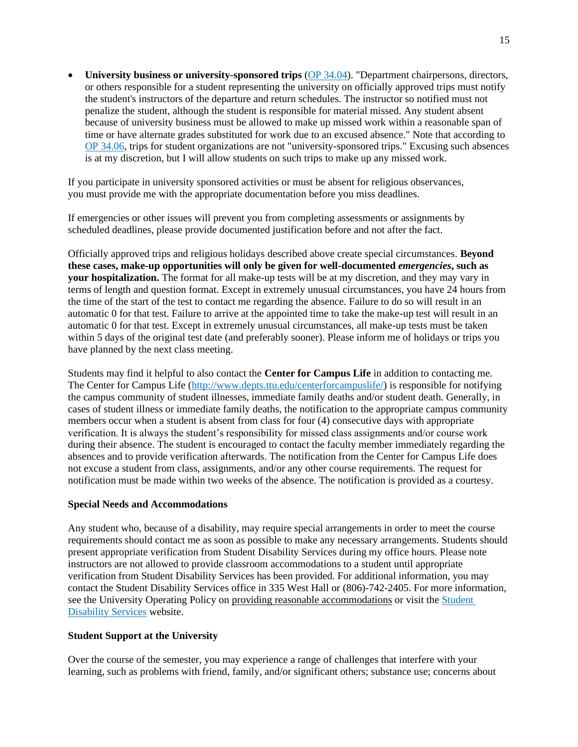• **University business or university-sponsored trips** [\(OP 34.04\)](http://www.depts.ttu.edu/opmanual/OP34.04.pdf). "Department chairpersons, directors, or others responsible for a student representing the university on officially approved trips must notify the student's instructors of the departure and return schedules. The instructor so notified must not penalize the student, although the student is responsible for material missed. Any student absent because of university business must be allowed to make up missed work within a reasonable span of time or have alternate grades substituted for work due to an excused absence." Note that according to [OP 34.06,](http://www.depts.ttu.edu/opmanual/OP34.06.pdf) trips for student organizations are not "university-sponsored trips." Excusing such absences is at my discretion, but I will allow students on such trips to make up any missed work.

If you participate in university sponsored activities or must be absent for religious observances, you must provide me with the appropriate documentation before you miss deadlines.

If emergencies or other issues will prevent you from completing assessments or assignments by scheduled deadlines, please provide documented justification before and not after the fact.

Officially approved trips and religious holidays described above create special circumstances. **Beyond these cases, make-up opportunities will only be given for well-documented** *emergencies***, such as your hospitalization.** The format for all make-up tests will be at my discretion, and they may vary in terms of length and question format. Except in extremely unusual circumstances, you have 24 hours from the time of the start of the test to contact me regarding the absence. Failure to do so will result in an automatic 0 for that test. Failure to arrive at the appointed time to take the make-up test will result in an automatic 0 for that test. Except in extremely unusual circumstances, all make-up tests must be taken within 5 days of the original test date (and preferably sooner). Please inform me of holidays or trips you have planned by the next class meeting.

Students may find it helpful to also contact the **Center for Campus Life** in addition to contacting me. The Center for Campus Life (http://www.depts.ttu.edu/centerforcampuslife/) is responsible for notifying the campus community of student illnesses, immediate family deaths and/or student death. Generally, in cases of student illness or immediate family deaths, the notification to the appropriate campus community members occur when a student is absent from class for four (4) consecutive days with appropriate verification. It is always the student's responsibility for missed class assignments and/or course work during their absence. The student is encouraged to contact the faculty member immediately regarding the absences and to provide verification afterwards. The notification from the Center for Campus Life does not excuse a student from class, assignments, and/or any other course requirements. The request for notification must be made within two weeks of the absence. The notification is provided as a courtesy.

### **Special Needs and Accommodations**

Any student who, because of a disability, may require special arrangements in order to meet the course requirements should contact me as soon as possible to make any necessary arrangements. Students should present appropriate verification from Student Disability Services during my office hours. Please note instructors are not allowed to provide classroom accommodations to a student until appropriate verification from Student Disability Services has been provided. For additional information, you may contact the Student Disability Services office in 335 West Hall or (806)-742-2405. For more information, see the University Operating Policy on [providing reasonable accommodations](http://www.depts.ttu.edu/opmanual/OP34.22.pdf) or visit the [Student](http://www.depts.ttu.edu/students/sds/)  [Disability Services](http://www.depts.ttu.edu/students/sds/) website.

### **Student Support at the University**

Over the course of the semester, you may experience a range of challenges that interfere with your learning, such as problems with friend, family, and/or significant others; substance use; concerns about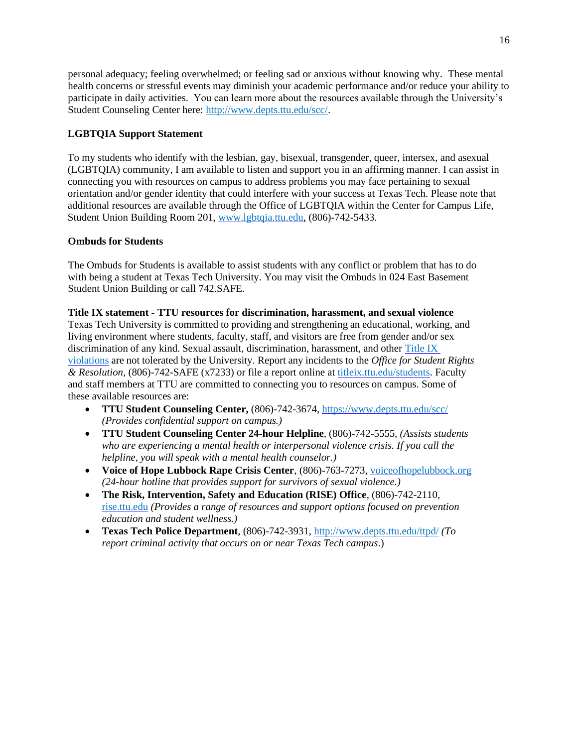personal adequacy; feeling overwhelmed; or feeling sad or anxious without knowing why. These mental health concerns or stressful events may diminish your academic performance and/or reduce your ability to participate in daily activities. You can learn more about the resources available through the University's Student Counseling Center here: [http://www.depts.ttu.edu/scc/.](http://www.depts.ttu.edu/scc/)

## **LGBTQIA Support Statement**

To my students who identify with the lesbian, gay, bisexual, transgender, queer, intersex, and asexual (LGBTQIA) community, I am available to listen and support you in an affirming manner. I can assist in connecting you with resources on campus to address problems you may face pertaining to sexual orientation and/or gender identity that could interfere with your success at Texas Tech. Please note that additional resources are available through the Office of LGBTQIA within the Center for Campus Life, Student Union Building Room 201, [www.lgbtqia.ttu.edu,](http://www.lgbtqia.ttu.edu/) (806)-742-5433.

## **Ombuds for Students**

The Ombuds for Students is available to assist students with any conflict or problem that has to do with being a student at Texas Tech University. You may visit the Ombuds in 024 East Basement Student Union Building or call 742.SAFE.

**Title IX statement - TTU resources for discrimination, harassment, and sexual violence** Texas Tech University is committed to providing and strengthening an educational, working, and living environment where students, faculty, staff, and visitors are free from gender and/or sex discrimination of any kind. Sexual assault, discrimination, harassment, and other [Title](https://mail.ttu.edu/owa/redir.aspx?REF=TDnyezHrHlu1DNW3n3slbLOqQtLDtKgJ3v1I3NgO6KrxaOuNHz3TCAFodHRwOi8vdGl0bGVpeC50dHUuZWR1Lw) IX [violations](https://mail.ttu.edu/owa/redir.aspx?REF=TDnyezHrHlu1DNW3n3slbLOqQtLDtKgJ3v1I3NgO6KrxaOuNHz3TCAFodHRwOi8vdGl0bGVpeC50dHUuZWR1Lw) are not tolerated by the University. Report any incidents to the *Office for Student Rights & Resolution*, (806)-742-SAFE (x7233) or file a report online a[t titleix.ttu.edu/students.](https://mail.ttu.edu/owa/redir.aspx?REF=TMlWTyd6as_1iI_0H5FLTz_Tacxr_ytIAYxWLxEEyOLxaOuNHz3TCAFodHRwOi8vdGl0bGVpeC50dHUuZWR1L3N0dWRlbnRz) Faculty and staff members at TTU are committed to connecting you to resources on campus. Some of these available resources are:

- **TTU Student Counseling Center,** (806)-742-3674, [https://www.depts.ttu.edu/scc/](https://mail.ttu.edu/owa/redir.aspx?REF=5gFmwn20cg0WpRjuzh2XhzWDxz7cumguCavnkO3YwwjxaOuNHz3TCAFodHRwczovL3d3dy5kZXB0cy50dHUuZWR1L3NjYy8) *(Provides confidential support on campus.)*
- **TTU Student Counseling Center 24-hour Helpline**, (806)-742-5555, *(Assists students who are experiencing a mental health or interpersonal violence crisis. If you call the helpline, you will speak with a mental health counselor.)*
- **Voice of Hope Lubbock Rape Crisis Center**, (806)-763-7273, [voiceofhopelubbock.org](https://mail.ttu.edu/owa/redir.aspx?REF=1uM4ndet18SPRjjIp5A6_3NleY5utzJnGJQofjxBV93xaOuNHz3TCAFodHRwOi8vdm9pY2VvZmhvcGVsdWJib2NrLm9yZy8) *(24-hour hotline that provides support for survivors of sexual violence.)*
- **The Risk, Intervention, Safety and Education (RISE) Office**, (806)-742-2110, [rise.ttu.edu](https://mail.ttu.edu/owa/redir.aspx?REF=MVDdWy7eTuVCRcyvK7oAo5m4RdChfQJJLRJAKCHbI9HxaOuNHz3TCAFodHRwczovL3d3dy5kZXB0cy50dHUuZWR1L3Jpc2Uv) *(Provides a range of resources and support options focused on prevention education and student wellness.)*
- **Texas Tech Police Department**, (806)-742-3931[, http://www.depts.ttu.edu/ttpd/](https://mail.ttu.edu/owa/redir.aspx?REF=KWYBL2BDUkHcPK_WY77UERDu3ue1h3IPLo_tp-TiyuzxaOuNHz3TCAFodHRwOi8vd3d3LmRlcHRzLnR0dS5lZHUvdHRwZC8) *(To report criminal activity that occurs on or near Texas Tech campus*.)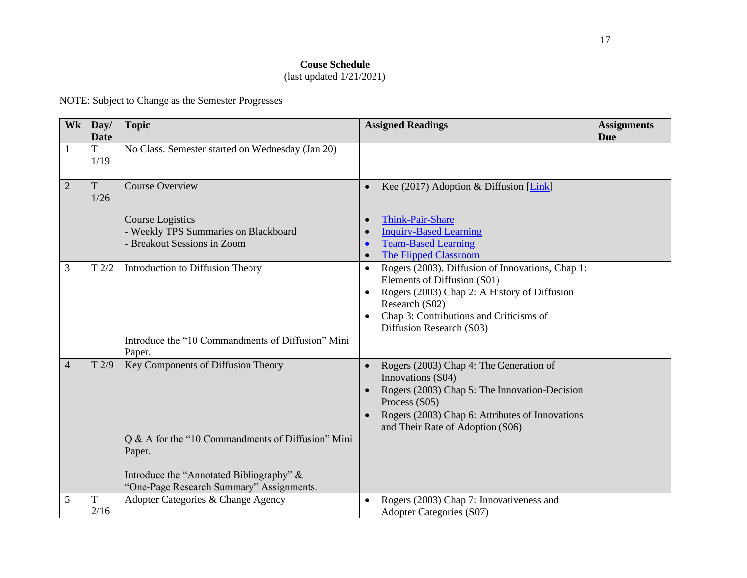# **Couse Schedule**

# (last updated 1/21/2021)

NOTE: Subject to Change as the Semester Progresses

| Wk             | Day/<br><b>Date</b> | <b>Topic</b>                                                                                                                                        | <b>Assigned Readings</b>                                                                                                                                                                                                              | <b>Assignments</b><br>Due |
|----------------|---------------------|-----------------------------------------------------------------------------------------------------------------------------------------------------|---------------------------------------------------------------------------------------------------------------------------------------------------------------------------------------------------------------------------------------|---------------------------|
|                | T<br>1/19           | No Class. Semester started on Wednesday (Jan 20)                                                                                                    |                                                                                                                                                                                                                                       |                           |
|                |                     |                                                                                                                                                     |                                                                                                                                                                                                                                       |                           |
| $\overline{2}$ | T<br>1/26           | <b>Course Overview</b>                                                                                                                              | Kee (2017) Adoption & Diffusion [Link]                                                                                                                                                                                                |                           |
|                |                     | Course Logistics<br>- Weekly TPS Summaries on Blackboard<br>- Breakout Sessions in Zoom                                                             | <b>Think-Pair-Share</b><br><b>Inquiry-Based Learning</b><br>$\bullet$<br><b>Team-Based Learning</b><br><b>The Flipped Classroom</b>                                                                                                   |                           |
| 3              | T2/2                | Introduction to Diffusion Theory                                                                                                                    | Rogers (2003). Diffusion of Innovations, Chap 1:<br>$\bullet$<br>Elements of Diffusion (S01)<br>Rogers (2003) Chap 2: A History of Diffusion<br>Research (S02)<br>Chap 3: Contributions and Criticisms of<br>Diffusion Research (S03) |                           |
|                |                     | Introduce the "10 Commandments of Diffusion" Mini<br>Paper.                                                                                         |                                                                                                                                                                                                                                       |                           |
| 4              | T2/9                | Key Components of Diffusion Theory                                                                                                                  | Rogers (2003) Chap 4: The Generation of<br>Innovations (S04)<br>Rogers (2003) Chap 5: The Innovation-Decision<br>Process (S05)<br>Rogers (2003) Chap 6: Attributes of Innovations<br>and Their Rate of Adoption (S06)                 |                           |
|                |                     | Q & A for the "10 Commandments of Diffusion" Mini<br>Paper.<br>Introduce the "Annotated Bibliography" &<br>"One-Page Research Summary" Assignments. |                                                                                                                                                                                                                                       |                           |
| 5              | T<br>2/16           | Adopter Categories & Change Agency                                                                                                                  | Rogers (2003) Chap 7: Innovativeness and<br>$\bullet$<br>Adopter Categories (S07)                                                                                                                                                     |                           |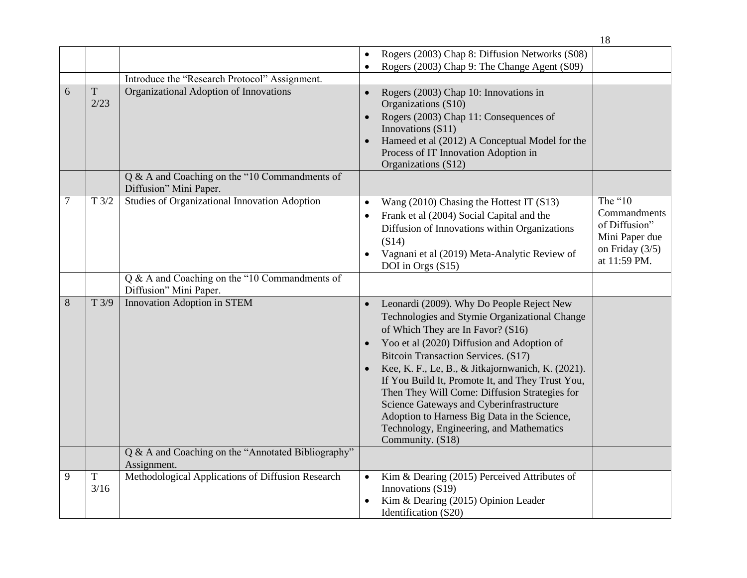|   |           |                                                                         |                                                                                                                                                                                                                                                                                                                                                                                                                                                                                                                                                         | 18                                                                                              |
|---|-----------|-------------------------------------------------------------------------|---------------------------------------------------------------------------------------------------------------------------------------------------------------------------------------------------------------------------------------------------------------------------------------------------------------------------------------------------------------------------------------------------------------------------------------------------------------------------------------------------------------------------------------------------------|-------------------------------------------------------------------------------------------------|
|   |           |                                                                         | Rogers (2003) Chap 8: Diffusion Networks (S08)                                                                                                                                                                                                                                                                                                                                                                                                                                                                                                          |                                                                                                 |
|   |           |                                                                         | Rogers (2003) Chap 9: The Change Agent (S09)<br>$\bullet$                                                                                                                                                                                                                                                                                                                                                                                                                                                                                               |                                                                                                 |
|   |           | Introduce the "Research Protocol" Assignment.                           |                                                                                                                                                                                                                                                                                                                                                                                                                                                                                                                                                         |                                                                                                 |
| 6 | T<br>2/23 | Organizational Adoption of Innovations                                  | Rogers (2003) Chap 10: Innovations in<br>Organizations (S10)<br>Rogers (2003) Chap 11: Consequences of<br>Innovations (S11)<br>Hameed et al (2012) A Conceptual Model for the<br>Process of IT Innovation Adoption in<br>Organizations (S12)                                                                                                                                                                                                                                                                                                            |                                                                                                 |
|   |           | Q & A and Coaching on the "10 Commandments of<br>Diffusion" Mini Paper. |                                                                                                                                                                                                                                                                                                                                                                                                                                                                                                                                                         |                                                                                                 |
| 7 | T3/2      | <b>Studies of Organizational Innovation Adoption</b>                    | Wang (2010) Chasing the Hottest IT (S13)<br>Frank et al (2004) Social Capital and the<br>Diffusion of Innovations within Organizations<br>(S14)<br>Vagnani et al (2019) Meta-Analytic Review of<br>DOI in Orgs (S15)                                                                                                                                                                                                                                                                                                                                    | The "10<br>Commandments<br>of Diffusion"<br>Mini Paper due<br>on Friday $(3/5)$<br>at 11:59 PM. |
|   |           | Q & A and Coaching on the "10 Commandments of<br>Diffusion" Mini Paper. |                                                                                                                                                                                                                                                                                                                                                                                                                                                                                                                                                         |                                                                                                 |
| 8 | T3/9      | Innovation Adoption in STEM                                             | Leonardi (2009). Why Do People Reject New<br>$\bullet$<br>Technologies and Stymie Organizational Change<br>of Which They are In Favor? (S16)<br>Yoo et al (2020) Diffusion and Adoption of<br>Bitcoin Transaction Services. (S17)<br>Kee, K. F., Le, B., & Jitkajornwanich, K. (2021).<br>If You Build It, Promote It, and They Trust You,<br>Then They Will Come: Diffusion Strategies for<br>Science Gateways and Cyberinfrastructure<br>Adoption to Harness Big Data in the Science,<br>Technology, Engineering, and Mathematics<br>Community. (S18) |                                                                                                 |
|   |           | Q & A and Coaching on the "Annotated Bibliography"<br>Assignment.       |                                                                                                                                                                                                                                                                                                                                                                                                                                                                                                                                                         |                                                                                                 |
| 9 | T<br>3/16 | Methodological Applications of Diffusion Research                       | Kim & Dearing (2015) Perceived Attributes of<br>$\bullet$<br>Innovations (S19)<br>Kim & Dearing (2015) Opinion Leader<br>Identification (S20)                                                                                                                                                                                                                                                                                                                                                                                                           |                                                                                                 |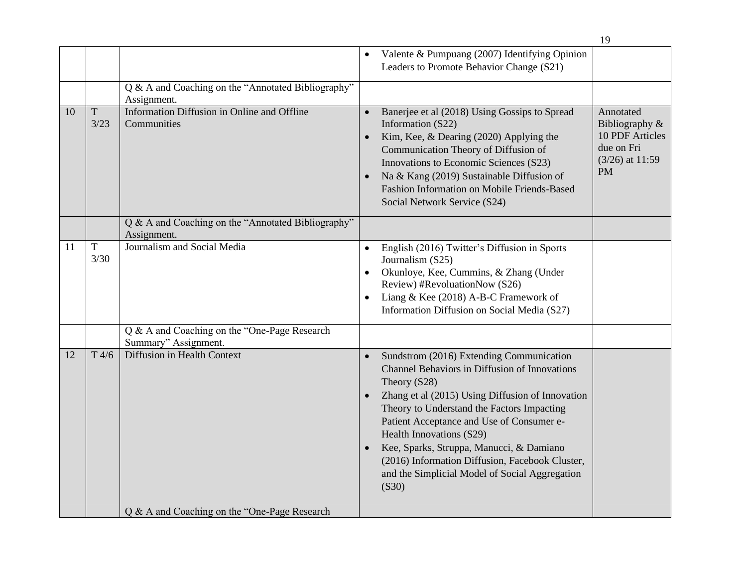|    |                     |                                                                      |                                                                                                                                                                                                                                                                                                                                                                                                                                                             | 19                                                                                             |
|----|---------------------|----------------------------------------------------------------------|-------------------------------------------------------------------------------------------------------------------------------------------------------------------------------------------------------------------------------------------------------------------------------------------------------------------------------------------------------------------------------------------------------------------------------------------------------------|------------------------------------------------------------------------------------------------|
|    |                     |                                                                      | Valente & Pumpuang (2007) Identifying Opinion<br>Leaders to Promote Behavior Change (S21)                                                                                                                                                                                                                                                                                                                                                                   |                                                                                                |
|    |                     | Q & A and Coaching on the "Annotated Bibliography"<br>Assignment.    |                                                                                                                                                                                                                                                                                                                                                                                                                                                             |                                                                                                |
| 10 | $\mathbf T$<br>3/23 | Information Diffusion in Online and Offline<br>Communities           | Banerjee et al (2018) Using Gossips to Spread<br>Information (S22)<br>Kim, Kee, & Dearing (2020) Applying the<br>Communication Theory of Diffusion of<br>Innovations to Economic Sciences (S23)<br>Na & Kang (2019) Sustainable Diffusion of<br><b>Fashion Information on Mobile Friends-Based</b><br>Social Network Service (S24)                                                                                                                          | Annotated<br>Bibliography &<br>10 PDF Articles<br>due on Fri<br>$(3/26)$ at 11:59<br><b>PM</b> |
|    |                     | Q & A and Coaching on the "Annotated Bibliography"<br>Assignment.    |                                                                                                                                                                                                                                                                                                                                                                                                                                                             |                                                                                                |
| 11 | $\mathbf T$<br>3/30 | Journalism and Social Media                                          | English (2016) Twitter's Diffusion in Sports<br>$\bullet$<br>Journalism (S25)<br>Okunloye, Kee, Cummins, & Zhang (Under<br>Review) #RevoluationNow (S26)<br>Liang & Kee (2018) A-B-C Framework of<br>Information Diffusion on Social Media (S27)                                                                                                                                                                                                            |                                                                                                |
|    |                     | Q & A and Coaching on the "One-Page Research<br>Summary" Assignment. |                                                                                                                                                                                                                                                                                                                                                                                                                                                             |                                                                                                |
| 12 | T4/6                | Diffusion in Health Context                                          | Sundstrom (2016) Extending Communication<br>Channel Behaviors in Diffusion of Innovations<br>Theory (S28)<br>Zhang et al (2015) Using Diffusion of Innovation<br>Theory to Understand the Factors Impacting<br>Patient Acceptance and Use of Consumer e-<br>Health Innovations (S29)<br>Kee, Sparks, Struppa, Manucci, & Damiano<br>$\bullet$<br>(2016) Information Diffusion, Facebook Cluster,<br>and the Simplicial Model of Social Aggregation<br>(S30) |                                                                                                |
|    |                     | Q & A and Coaching on the "One-Page Research"                        |                                                                                                                                                                                                                                                                                                                                                                                                                                                             |                                                                                                |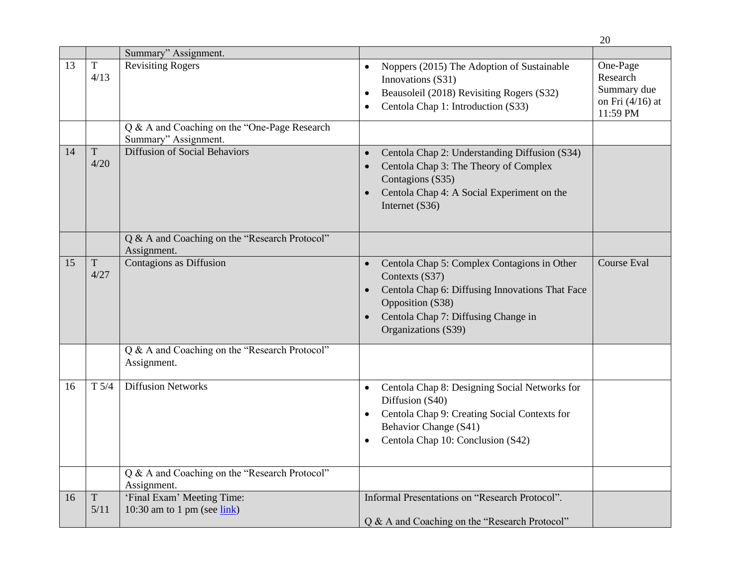|    |                     |                                                                        |                                                                                                                                                                                                    | 20                                                                    |
|----|---------------------|------------------------------------------------------------------------|----------------------------------------------------------------------------------------------------------------------------------------------------------------------------------------------------|-----------------------------------------------------------------------|
|    |                     | Summary" Assignment.                                                   |                                                                                                                                                                                                    |                                                                       |
| 13 | T<br>4/13           | <b>Revisiting Rogers</b>                                               | Noppers (2015) The Adoption of Sustainable<br>Innovations (S31)<br>Beausoleil (2018) Revisiting Rogers (S32)<br>Centola Chap 1: Introduction (S33)                                                 | One-Page<br>Research<br>Summary due<br>on Fri $(4/16)$ at<br>11:59 PM |
|    |                     | Q & A and Coaching on the "One-Page Research<br>Summary" Assignment.   |                                                                                                                                                                                                    |                                                                       |
| 14 | T<br>4/20           | <b>Diffusion of Social Behaviors</b>                                   | Centola Chap 2: Understanding Diffusion (S34)<br>Centola Chap 3: The Theory of Complex<br>Contagions (S35)<br>Centola Chap 4: A Social Experiment on the<br>Internet (S36)                         |                                                                       |
|    |                     | Q & A and Coaching on the "Research Protocol"<br>Assignment.           |                                                                                                                                                                                                    |                                                                       |
| 15 | $\mathbf T$<br>4/27 | Contagions as Diffusion                                                | Centola Chap 5: Complex Contagions in Other<br>Contexts (S37)<br>Centola Chap 6: Diffusing Innovations That Face<br>Opposition (S38)<br>Centola Chap 7: Diffusing Change in<br>Organizations (S39) | <b>Course Eval</b>                                                    |
|    |                     | Q & A and Coaching on the "Research Protocol"<br>Assignment.           |                                                                                                                                                                                                    |                                                                       |
| 16 | T <sub>5/4</sub>    | <b>Diffusion Networks</b>                                              | Centola Chap 8: Designing Social Networks for<br>$\bullet$<br>Diffusion (S40)<br>Centola Chap 9: Creating Social Contexts for<br>Behavior Change (S41)<br>Centola Chap 10: Conclusion (S42)        |                                                                       |
|    |                     | Q & A and Coaching on the "Research Protocol"<br>Assignment.           |                                                                                                                                                                                                    |                                                                       |
| 16 | $\mathbf T$<br>5/11 | 'Final Exam' Meeting Time:<br>10:30 am to 1 pm (see $\frac{link}{ }$ ) | Informal Presentations on "Research Protocol".<br>Q & A and Coaching on the "Research Protocol"                                                                                                    |                                                                       |